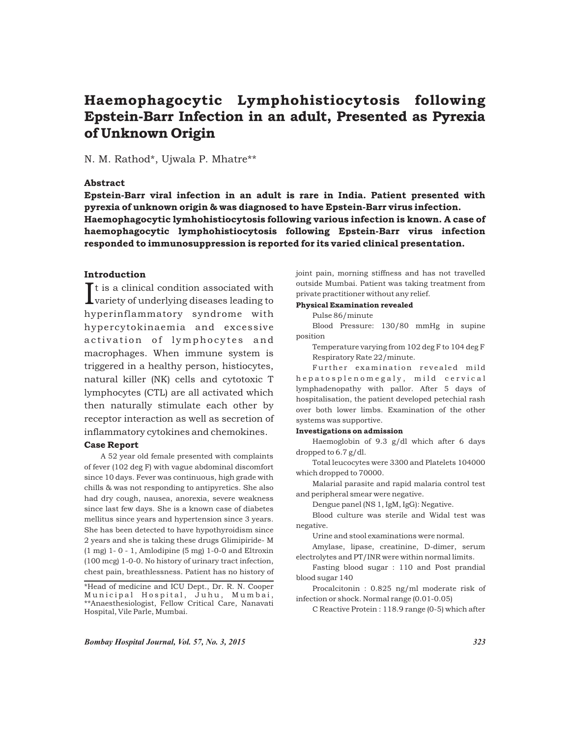# Haemophagocytic Lymphohistiocytosis following Epstein-Barr Infection in an adult, Presented as Pyrexia of Unknown Origin

## N. M. Rathod\*, Ujwala P. Mhatre\*\*

## Abstract

Epstein-Barr viral infection in an adult is rare in India. Patient presented with pyrexia of unknown origin & was diagnosed to have Epstein-Barr virus infection. Haemophagocytic lymhohistiocytosis following various infection is known. A case of haemophagocytic lymphohistiocytosis following Epstein-Barr virus infection responded to immunosuppression is reported for its varied clinical presentation.

## Introduction

 $\int$ t is a clinical condition associated with variety of underlying diseases leading to hyperinflammatory syndrome with hypercytokinaemia and excessive activation of lymphocytes and macrophages. When immune system is triggered in a healthy person, histiocytes, natural killer (NK) cells and cytotoxic T lymphocytes (CTL) are all activated which then naturally stimulate each other by receptor interaction as well as secretion of inflammatory cytokines and chemokines.

#### Case Report

A 52 year old female presented with complaints of fever (102 deg F) with vague abdominal discomfort since 10 days. Fever was continuous, high grade with chills & was not responding to antipyretics. She also had dry cough, nausea, anorexia, severe weakness since last few days. She is a known case of diabetes mellitus since years and hypertension since 3 years. She has been detected to have hypothyroidism since 2 years and she is taking these drugs Glimipiride- M (1 mg) 1- 0 - 1, Amlodipine (5 mg) 1-0-0 and Eltroxin (100 mcg) 1-0-0. No history of urinary tract infection, chest pain, breathlessness. Patient has no history of joint pain, morning stiffness and has not travelled outside Mumbai. Patient was taking treatment from private practitioner without any relief.

#### Physical Examination revealed

Pulse 86/minute

Blood Pressure: 130/80 mmHg in supine position

Temperature varying from 102 deg F to 104 deg F Respiratory Rate 22/minute.

Further examination revealed mild h e p a t o s p l e n o m e g a l y, m i l d c e r v i c a l lymphadenopathy with pallor. After 5 days of hospitalisation, the patient developed petechial rash over both lower limbs. Examination of the other systems was supportive.

#### Investigations on admission

Haemoglobin of 9.3 g/dl which after 6 days dropped to 6.7 g/dl.

Total leucocytes were 3300 and Platelets 104000 which dropped to 70000.

Malarial parasite and rapid malaria control test and peripheral smear were negative.

Dengue panel (NS 1, IgM, IgG): Negative.

Blood culture was sterile and Widal test was negative.

Urine and stool examinations were normal.

Amylase, lipase, creatinine, D-dimer, serum electrolytes and PT/INR were within normal limits.

Fasting blood sugar : 110 and Post prandial blood sugar 140

Procalcitonin : 0.825 ng/ml moderate risk of infection or shock. Normal range (0.01-0.05)

C Reactive Protein : 118.9 range (0-5) which after

*Bombay Hospital Journal, Vol. 57, No. 3, 2015 323*

<sup>\*</sup>Head of medicine and ICU Dept., Dr. R. N. Cooper Municipal Hospital, Juhu, Mumbai, \*\*Anaesthesiologist, Fellow Critical Care, Nanavati Hospital, Vile Parle, Mumbai.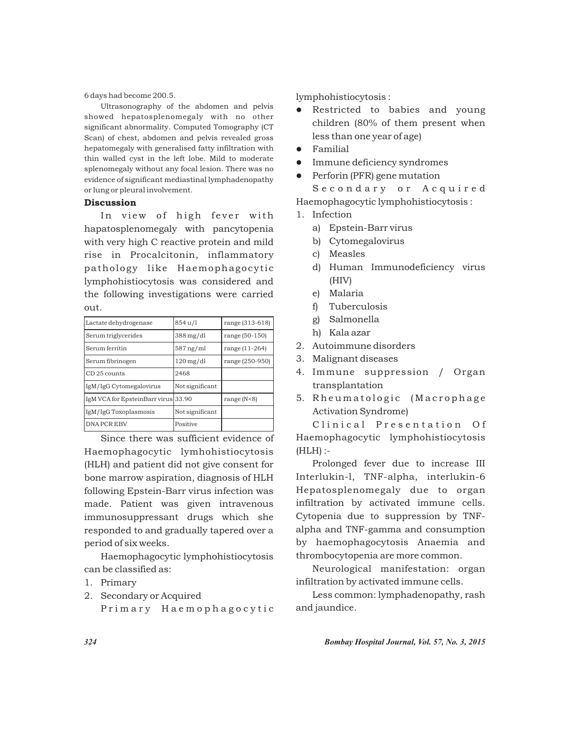6 days had become 200.5.

Ultrasonography of the abdomen and pelvis showed hepatosplenomegaly with no other significant abnormality. Computed Tomography (CT Scan) of chest, abdomen and pelvis revealed gross hepatomegaly with generalised fatty infiltration with thin walled cyst in the left lobe. Mild to moderate splenomegaly without any focal lesion. There was no evidence of significant mediastinal lymphadenopathy or lung or pleural involvement.

## **Discussion**

In view of high fever with hapatosplenomegaly with pancytopenia with very high C reactive protein and mild rise in Procalcitonin, inflammatory pathology like Haemophagocytic lymphohistiocytosis was considered and the following investigations were carried out.

| Lactate dehydrogenase               | 854 u/l                | range (313-618) |
|-------------------------------------|------------------------|-----------------|
| Serum triglycerides                 | $388 \,\mathrm{mg/dl}$ | range (50-150)  |
| Serum ferritin                      | $587$ ng/ml            | range (11-264)  |
| Serum fibrinogen                    | $120 \,\mathrm{mg/dl}$ | range (250-950) |
| CD 25 counts                        | 2468                   |                 |
| IgM/IgG Cytomegalovirus             | Not significant        |                 |
| IgM VCA for EpsteinBarr virus 33.90 |                        | range $(N<8)$   |
| IgM/IgG Toxoplasmosis               | Not significant        |                 |
| <b>DNA PCREBV</b>                   | Positive               |                 |

Since there was sufficient evidence of Haemophagocytic lymhohistiocytosis (HLH) and patient did not give consent for bone marrow aspiration, diagnosis of HLH following Epstein-Barr virus infection was made. Patient was given intravenous immunosuppressant drugs which she responded to and gradually tapered over a period of six weeks.

Haemophagocytic lymphohistiocytosis can be classified as:

- 1. Primary
- 2. Secondary or Acquired

Primary Haemophagocytic

lymphohistiocytosis :

- Restricted to babies and young children (80% of them present when less than one year of age)
- Familial
- l Immune deficiency syndromes
- Perforin (PFR) gene mutation

Secondary or Acquired Haemophagocytic lymphohistiocytosis :

- 1. Infection
	- a) Epstein-Barr virus
	- b) Cytomegalovirus
	- c) Measles
	- d) Human Immunodeficiency virus (HIV)
	- e) Malaria
	- f) Tuberculosis
	- g) Salmonella
	- h) Kala azar
- 2. Autoimmune disorders
- 3. Malignant diseases
- 4. Immune suppression / Organ transplantation
- 5. Rheumatologic (Macrophage Activation Syndrome)

Clinical Presentation Of Haemophagocytic lymphohistiocytosis (HLH) :-

Prolonged fever due to increase III Interlukin-l, TNF-alpha, interlukin-6 Hepatosplenomegaly due to organ infiltration by activated immune cells. Cytopenia due to suppression by TNFalpha and TNF-gamma and consumption by haemophagocytosis Anaemia and thrombocytopenia are more common.

Neurological manifestation: organ infiltration by activated immune cells.

Less common: lymphadenopathy, rash and jaundice.

*324 Bombay Hospital Journal, Vol. 57, No. 3, 2015*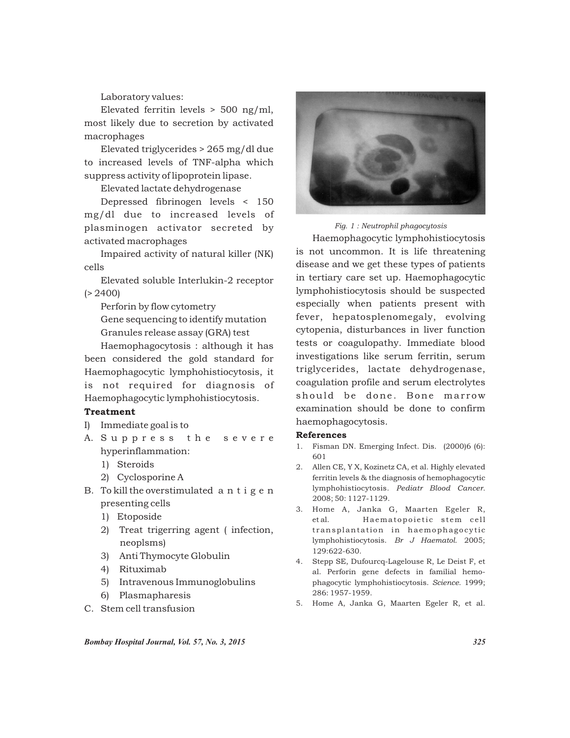Laboratory values:

Elevated ferritin levels  $> 500$  ng/ml, most likely due to secretion by activated macrophages

Elevated triglycerides > 265 mg/dl due to increased levels of TNF-alpha which suppress activity of lipoprotein lipase.

Elevated lactate dehydrogenase

Depressed fibrinogen levels < 150 mg/dl due to increased levels of plasminogen activator secreted by activated macrophages

Impaired activity of natural killer (NK) cells

Elevated soluble Interlukin-2 receptor  $(> 2400)$ 

Perforin by flow cytometry

Gene sequencing to identify mutation Granules release assay (GRA) test

Haemophagocytosis : although it has been considered the gold standard for Haemophagocytic lymphohistiocytosis, it is not required for diagnosis of Haemophagocytic lymphohistiocytosis.

## Treatment

- I) Immediate goal is to
- A. Suppress the severe hyperinflammation:
	- 1) Steroids
	- 2) Cyclosporine A
- B. To kill the overstimulated a n t i g e n presenting cells
	- 1) Etoposide
	- 2) Treat trigerring agent ( infection, neoplsms)
	- 3) Anti Thymocyte Globulin
	- 4) Rituximab
	- 5) Intravenous Immunoglobulins
	- 6) Plasmapharesis
- C. Stem cell transfusion



*Fig. 1 : Neutrophil phagocytosis*

Haemophagocytic lymphohistiocytosis is not uncommon. It is life threatening disease and we get these types of patients in tertiary care set up. Haemophagocytic lymphohistiocytosis should be suspected especially when patients present with fever, hepatosplenomegaly, evolving cytopenia, disturbances in liver function tests or coagulopathy. Immediate blood investigations like serum ferritin, serum triglycerides, lactate dehydrogenase, coagulation profile and serum electrolytes should be done. Bone marrow examination should be done to confirm haemophagocytosis.

### References

- 1. Fisman DN. Emerging Infect. Dis. (2000)6 (6): 601
- 2. Allen CE, Y X, Kozinetz CA, et al. Highly elevated ferritin levels & the diagnosis of hemophagocytic lymphohistiocytosis. *Pediatr Blood Cancer.* 2008; 50: 1127-1129.
- 3. Home A, Janka G, Maarten Egeler R, et al. Haematopoietic stem cell transplantation in haemophagocytic lymphohistiocytosis. *Br J Haematol.* 2005; 129:622-630.
- 4. Stepp SE, Dufourcq-Lagelouse R, Le Deist F, et al. Perforin gene defects in familial hemophagocytic lymphohistiocytosis. *Science.* 1999; 286: 1957-1959.
- 5. Home A, Janka G, Maarten Egeler R, et al.

*Bombay Hospital Journal, Vol. 57, No. 3, 2015 325*